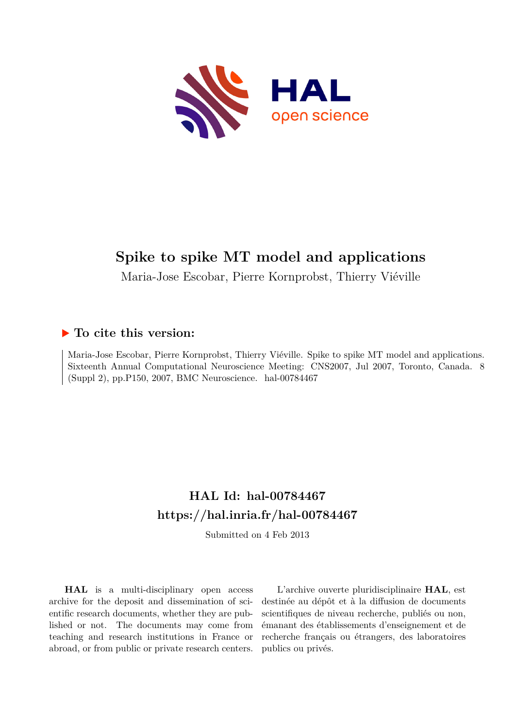

# **Spike to spike MT model and applications**

Maria-Jose Escobar, Pierre Kornprobst, Thierry Viéville

## **To cite this version:**

Maria-Jose Escobar, Pierre Kornprobst, Thierry Viéville. Spike to spike MT model and applications. Sixteenth Annual Computational Neuroscience Meeting: CNS2007, Jul 2007, Toronto, Canada. 8 (Suppl 2), pp.P150, 2007, BMC Neuroscience. hal-00784467

# **HAL Id: hal-00784467 <https://hal.inria.fr/hal-00784467>**

Submitted on 4 Feb 2013

**HAL** is a multi-disciplinary open access archive for the deposit and dissemination of scientific research documents, whether they are published or not. The documents may come from teaching and research institutions in France or abroad, or from public or private research centers.

L'archive ouverte pluridisciplinaire **HAL**, est destinée au dépôt et à la diffusion de documents scientifiques de niveau recherche, publiés ou non, émanant des établissements d'enseignement et de recherche français ou étrangers, des laboratoires publics ou privés.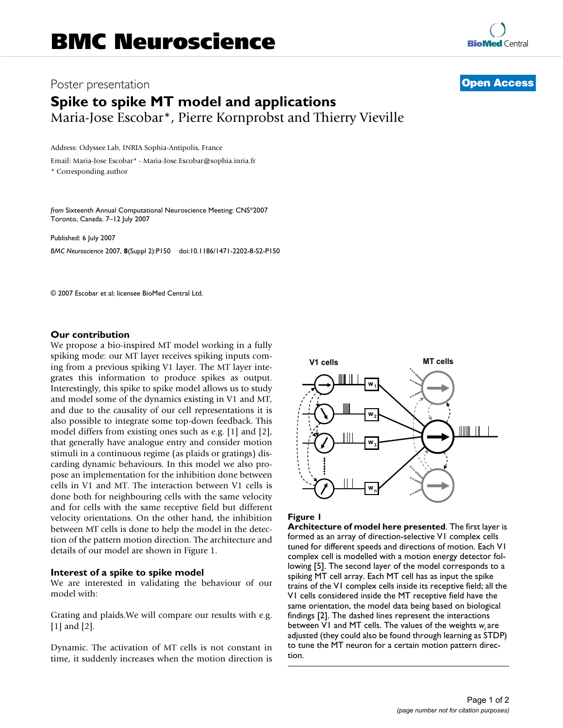## Poster presentation **Contract Contract Contract Contract Contract Contract Contract Contract Contract Contract Contract Contract Contract Contract Contract Contract Contract Contract Contract Contract Contract Contract Con Spike to spike MT model and applications** Maria-Jose Escobar\*, Pierre Kornprobst and Thierry Vieville

Address: Odyssee Lab, INRIA Sophia-Antipolis, France

Email: Maria-Jose Escobar\* - Maria-Jose.Escobar@sophia.inria.fr \* Corresponding author

*from* Sixteenth Annual Computational Neuroscience Meeting: CNS\*2007 Toronto, Canada. 7–12 July 2007

Published: 6 July 2007 *BMC Neuroscience* 2007, **8**(Suppl 2):P150 doi:10.1186/1471-2202-8-S2-P150

© 2007 Escobar et al; licensee BioMed Central Ltd.

### **Our contribution**

We propose a bio-inspired MT model working in a fully spiking mode: our MT layer receives spiking inputs coming from a previous spiking V1 layer. The MT layer integrates this information to produce spikes as output. Interestingly, this spike to spike model allows us to study and model some of the dynamics existing in V1 and MT, and due to the causality of our cell representations it is also possible to integrate some top-down feedback. This model differs from existing ones such as e.g. [1] and [2], that generally have analogue entry and consider motion stimuli in a continuous regime (as plaids or gratings) discarding dynamic behaviours. In this model we also propose an implementation for the inhibition done between cells in V1 and MT. The interaction between V1 cells is done both for neighbouring cells with the same velocity and for cells with the same receptive field but different velocity orientations. On the other hand, the inhibition between MT cells is done to help the model in the detection of the pattern motion direction. The architecture and details of our model are shown in Figure 1.

#### **Interest of a spike to spike model**

We are interested in validating the behaviour of our model with:

Grating and plaids.We will compare our results with e.g. [1] and [2].

Dynamic. The activation of MT cells is not constant in time, it suddenly increases when the motion direction is



#### **Figure 1**

**Architecture of model here presented**. The first layer is formed as an array of direction-selective V1 complex cells tuned for different speeds and directions of motion. Each V1 complex cell is modelled with a motion energy detector following [5]. The second layer of the model corresponds to a spiking MT cell array. Each MT cell has as input the spike trains of the V1 complex cells inside its receptive field; all the V1 cells considered inside the MT receptive field have the same orientation, the model data being based on biological findings [2]. The dashed lines represent the interactions between V1 and MT cells. The values of the weights *wi* are adjusted (they could also be found through learning as STDP) to tune the MT neuron for a certain motion pattern direction.

**RioMed Central**